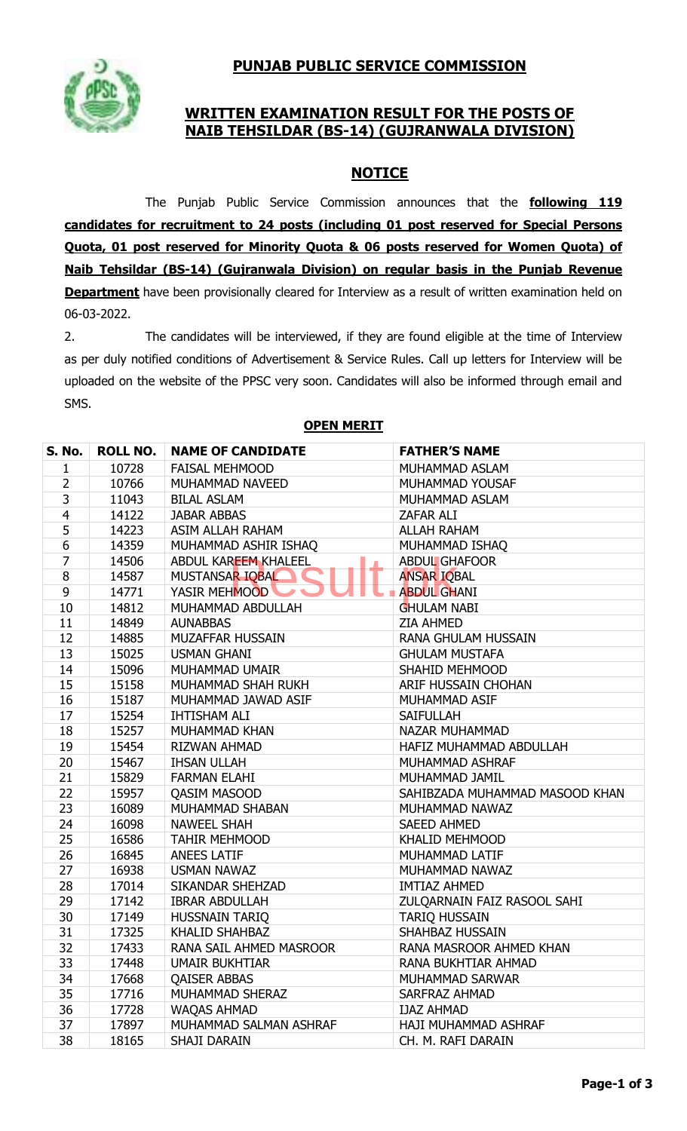# **PUNJAB PUBLIC SERVICE COMMISSION**



## **WRITTEN EXAMINATION RESULT FOR THE POSTS OF NAIB TEHSILDAR (BS-14) (GUJRANWALA DIVISION)**

## **NOTICE**

The Punjab Public Service Commission announces that the **following 119 candidates for recruitment to 24 posts (including 01 post reserved for Special Persons Quota, 01 post reserved for Minority Quota & 06 posts reserved for Women Quota) of Naib Tehsildar (BS-14) (Gujranwala Division) on regular basis in the Punjab Revenue Department** have been provisionally cleared for Interview as a result of written examination held on 06-03-2022.

2. The candidates will be interviewed, if they are found eligible at the time of Interview as per duly notified conditions of Advertisement & Service Rules. Call up letters for Interview will be uploaded on the website of the PPSC very soon. Candidates will also be informed through email and SMS.

| <b>S. No.</b> | <b>ROLL NO.</b> | <b>NAME OF CANDIDATE</b> | <b>FATHER'S NAME</b>           |
|---------------|-----------------|--------------------------|--------------------------------|
| 1             | 10728           | <b>FAISAL MEHMOOD</b>    | MUHAMMAD ASLAM                 |
| 2             | 10766           | MUHAMMAD NAVEED          | MUHAMMAD YOUSAF                |
| 3             | 11043           | <b>BILAL ASLAM</b>       | MUHAMMAD ASLAM                 |
| 4             | 14122           | <b>JABAR ABBAS</b>       | ZAFAR ALI                      |
| 5             | 14223           | ASIM ALLAH RAHAM         | <b>ALLAH RAHAM</b>             |
| 6             | 14359           | MUHAMMAD ASHIR ISHAQ     | MUHAMMAD ISHAQ                 |
| 7             | 14506           | ABDUL KAREEM KHALEEL     | <b>ABDUL GHAFOOR</b>           |
| 8             | 14587           | MUSTANSAR IQBAL          | <b>ANSAR IQBAL</b>             |
| 9             | 14771           | YASIR MEHMOOD            | <b>ABDUL GHANI</b>             |
| 10            | 14812           | MUHAMMAD ABDULLAH        | <b>GHULAM NABI</b>             |
| 11            | 14849           | <b>AUNABBAS</b>          | <b>ZIA AHMED</b>               |
| 12            | 14885           | MUZAFFAR HUSSAIN         | RANA GHULAM HUSSAIN            |
| 13            | 15025           | <b>USMAN GHANI</b>       | <b>GHULAM MUSTAFA</b>          |
| 14            | 15096           | MUHAMMAD UMAIR           | SHAHID MEHMOOD                 |
| 15            | 15158           | MUHAMMAD SHAH RUKH       | ARIF HUSSAIN CHOHAN            |
| 16            | 15187           | MUHAMMAD JAWAD ASIF      | MUHAMMAD ASIF                  |
| 17            | 15254           | <b>IHTISHAM ALI</b>      | <b>SAIFULLAH</b>               |
| 18            | 15257           | <b>MUHAMMAD KHAN</b>     | NAZAR MUHAMMAD                 |
| 19            | 15454           | <b>RIZWAN AHMAD</b>      | HAFIZ MUHAMMAD ABDULLAH        |
| 20            | 15467           | <b>IHSAN ULLAH</b>       | MUHAMMAD ASHRAF                |
| 21            | 15829           | <b>FARMAN ELAHI</b>      | MUHAMMAD JAMIL                 |
| 22            | 15957           | <b>QASIM MASOOD</b>      | SAHIBZADA MUHAMMAD MASOOD KHAN |
| 23            | 16089           | MUHAMMAD SHABAN          | MUHAMMAD NAWAZ                 |
| 24            | 16098           | <b>NAWEEL SHAH</b>       | <b>SAEED AHMED</b>             |
| 25            | 16586           | <b>TAHIR MEHMOOD</b>     | <b>KHALID MEHMOOD</b>          |
| 26            | 16845           | <b>ANEES LATIF</b>       | MUHAMMAD LATIF                 |
| 27            | 16938           | <b>USMAN NAWAZ</b>       | MUHAMMAD NAWAZ                 |
| 28            | 17014           | SIKANDAR SHEHZAD         | <b>IMTIAZ AHMED</b>            |
| 29            | 17142           | <b>IBRAR ABDULLAH</b>    | ZULQARNAIN FAIZ RASOOL SAHI    |
| 30            | 17149           | <b>HUSSNAIN TARIQ</b>    | <b>TARIQ HUSSAIN</b>           |
| 31            | 17325           | <b>KHALID SHAHBAZ</b>    | SHAHBAZ HUSSAIN                |
| 32            | 17433           | RANA SAIL AHMED MASROOR  | RANA MASROOR AHMED KHAN        |
| 33            | 17448           | <b>UMAIR BUKHTIAR</b>    | RANA BUKHTIAR AHMAD            |
| 34            | 17668           | <b>QAISER ABBAS</b>      | MUHAMMAD SARWAR                |
| 35            | 17716           | MUHAMMAD SHERAZ          | SARFRAZ AHMAD                  |
| 36            | 17728           | <b>WAOAS AHMAD</b>       | <b>IJAZ AHMAD</b>              |
| 37            | 17897           | MUHAMMAD SALMAN ASHRAF   | HAJI MUHAMMAD ASHRAF           |
| 38            | 18165           | SHAJI DARAIN             | CH. M. RAFI DARAIN             |

#### **OPEN MERIT**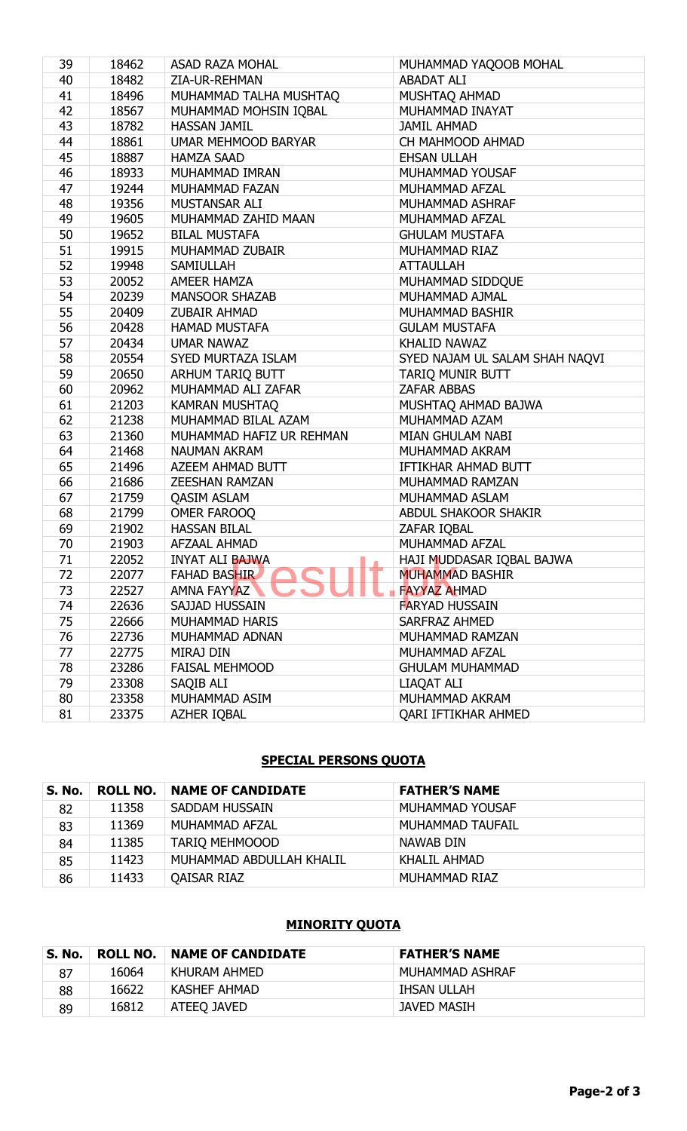| 39 | 18462 | <b>ASAD RAZA MOHAL</b>   | MUHAMMAD YAQOOB MOHAL          |
|----|-------|--------------------------|--------------------------------|
| 40 | 18482 | ZIA-UR-REHMAN            | <b>ABADAT ALI</b>              |
| 41 | 18496 | MUHAMMAD TALHA MUSHTAQ   | MUSHTAQ AHMAD                  |
| 42 | 18567 | MUHAMMAD MOHSIN IQBAL    | MUHAMMAD INAYAT                |
| 43 | 18782 | <b>HASSAN JAMIL</b>      | <b>JAMIL AHMAD</b>             |
| 44 | 18861 | UMAR MEHMOOD BARYAR      | CH MAHMOOD AHMAD               |
| 45 | 18887 | <b>HAMZA SAAD</b>        | <b>EHSAN ULLAH</b>             |
| 46 | 18933 | MUHAMMAD IMRAN           | MUHAMMAD YOUSAF                |
| 47 | 19244 | MUHAMMAD FAZAN           | MUHAMMAD AFZAL                 |
| 48 | 19356 | MUSTANSAR ALI            | MUHAMMAD ASHRAF                |
| 49 | 19605 | MUHAMMAD ZAHID MAAN      | MUHAMMAD AFZAL                 |
| 50 | 19652 | <b>BILAL MUSTAFA</b>     | <b>GHULAM MUSTAFA</b>          |
| 51 | 19915 | MUHAMMAD ZUBAIR          | MUHAMMAD RIAZ                  |
| 52 | 19948 | <b>SAMIULLAH</b>         | <b>ATTAULLAH</b>               |
| 53 | 20052 | <b>AMEER HAMZA</b>       | MUHAMMAD SIDDQUE               |
| 54 | 20239 | <b>MANSOOR SHAZAB</b>    | MUHAMMAD AJMAL                 |
| 55 | 20409 | <b>ZUBAIR AHMAD</b>      | MUHAMMAD BASHIR                |
| 56 | 20428 | <b>HAMAD MUSTAFA</b>     | <b>GULAM MUSTAFA</b>           |
| 57 | 20434 | <b>UMAR NAWAZ</b>        | <b>KHALID NAWAZ</b>            |
| 58 | 20554 | SYED MURTAZA ISLAM       | SYED NAJAM UL SALAM SHAH NAQVI |
| 59 | 20650 | ARHUM TARIQ BUTT         | <b>TARIQ MUNIR BUTT</b>        |
| 60 | 20962 | MUHAMMAD ALI ZAFAR       | <b>ZAFAR ABBAS</b>             |
| 61 | 21203 | <b>KAMRAN MUSHTAQ</b>    | MUSHTAQ AHMAD BAJWA            |
| 62 | 21238 | MUHAMMAD BILAL AZAM      | MUHAMMAD AZAM                  |
| 63 | 21360 | MUHAMMAD HAFIZ UR REHMAN | MIAN GHULAM NABI               |
| 64 | 21468 | <b>NAUMAN AKRAM</b>      | MUHAMMAD AKRAM                 |
| 65 | 21496 | AZEEM AHMAD BUTT         | IFTIKHAR AHMAD BUTT            |
| 66 | 21686 | <b>ZEESHAN RAMZAN</b>    | MUHAMMAD RAMZAN                |
| 67 | 21759 | <b>QASIM ASLAM</b>       | MUHAMMAD ASLAM                 |
| 68 | 21799 | OMER FAROOQ              | <b>ABDUL SHAKOOR SHAKIR</b>    |
| 69 | 21902 | <b>HASSAN BILAL</b>      | ZAFAR IQBAL                    |
| 70 | 21903 | AFZAAL AHMAD             | MUHAMMAD AFZAL                 |
| 71 | 22052 | <b>INYAT ALI BAJWA</b>   | HAJI MUDDASAR IQBAL BAJWA      |
| 72 | 22077 | <b>FAHAD BASHIR</b>      | <b>MUHAMMAD BASHIR</b>         |
| 73 | 22527 | AMNA FAYYAZ              | <b>FAYYAZ AHMAD</b>            |
| 74 | 22636 | SAJJAD HUSSAIN           | <b>FARYAD HUSSAIN</b>          |
| 75 | 22666 | <b>MUHAMMAD HARIS</b>    | <b>SARFRAZ AHMED</b>           |
| 76 | 22736 | MUHAMMAD ADNAN           | MUHAMMAD RAMZAN                |
| 77 | 22775 | MIRAJ DIN                | MUHAMMAD AFZAL                 |
| 78 | 23286 | <b>FAISAL MEHMOOD</b>    | <b>GHULAM MUHAMMAD</b>         |
| 79 | 23308 | SAQIB ALI                | <b>LIAOAT ALI</b>              |
| 80 | 23358 | MUHAMMAD ASIM            | MUHAMMAD AKRAM                 |
| 81 | 23375 | AZHER IQBAL              | QARI IFTIKHAR AHMED            |

#### **SPECIAL PERSONS QUOTA**

| <b>S. No.</b> | ROLL NO. | <b>NAME OF CANDIDATE</b> | <b>FATHER'S NAME</b> |
|---------------|----------|--------------------------|----------------------|
| 82            | 11358    | <b>SADDAM HUSSAIN</b>    | MUHAMMAD YOUSAF      |
| 83            | 11369    | MUHAMMAD AFZAL           | MUHAMMAD TAUFAIL     |
| 84            | 11385    | <b>TARIO MEHMOOOD</b>    | NAWAB DIN            |
| 85            | 11423    | MUHAMMAD ABDULLAH KHALIL | KHALIL AHMAD         |
| 86            | 11433    | QAISAR RIAZ              | MUHAMMAD RIAZ        |

## **MINORITY QUOTA**

| <b>S. No.</b> |       | <b>ROLL NO. INAME OF CANDIDATE</b> | <b>FATHER'S NAME</b> |
|---------------|-------|------------------------------------|----------------------|
| 87            | 16064 | KHURAM AHMED                       | MUHAMMAD ASHRAF      |
| 88            | 16622 | KASHEF AHMAD                       | IHSAN ULLAH          |
| 89            | 16812 | ATEEQ JAVED                        | JAVED MASIH          |